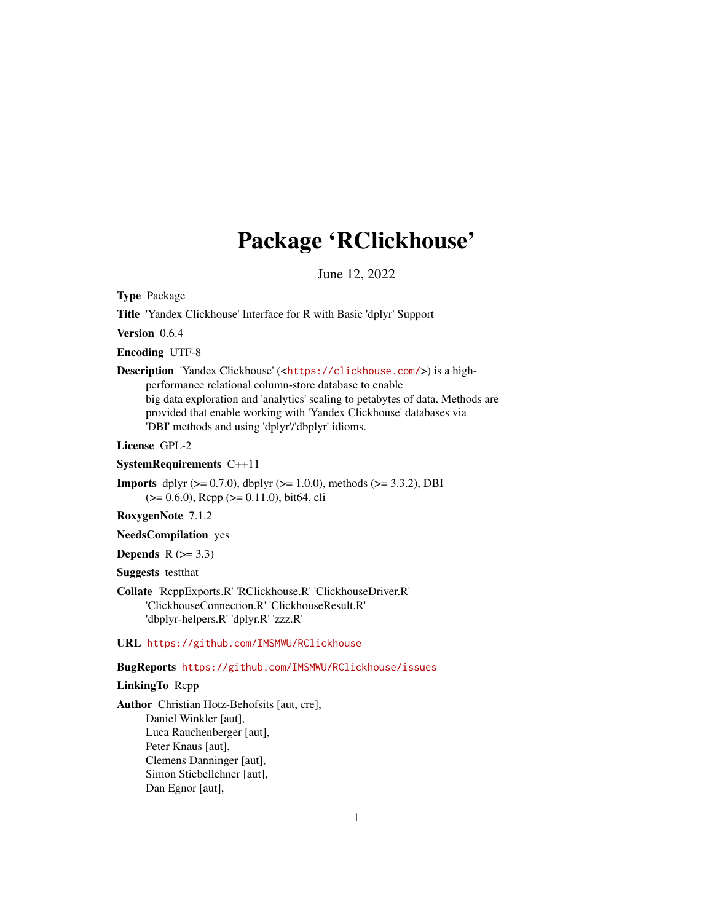## Package 'RClickhouse'

June 12, 2022

Type Package

Title 'Yandex Clickhouse' Interface for R with Basic 'dplyr' Support

Version 0.6.4

Encoding UTF-8

Description 'Yandex Clickhouse' (<<https://clickhouse.com/>>) is a highperformance relational column-store database to enable big data exploration and 'analytics' scaling to petabytes of data. Methods are provided that enable working with 'Yandex Clickhouse' databases via 'DBI' methods and using 'dplyr'/'dbplyr' idioms.

License GPL-2

#### SystemRequirements C++11

**Imports** dplyr ( $> = 0.7.0$ ), dbplyr ( $> = 1.0.0$ ), methods ( $> = 3.3.2$ ), DBI (>= 0.6.0), Rcpp (>= 0.11.0), bit64, cli

#### RoxygenNote 7.1.2

NeedsCompilation yes

**Depends**  $R$  ( $>= 3.3$ )

Suggests testthat

Collate 'RcppExports.R' 'RClickhouse.R' 'ClickhouseDriver.R' 'ClickhouseConnection.R' 'ClickhouseResult.R' 'dbplyr-helpers.R' 'dplyr.R' 'zzz.R'

URL <https://github.com/IMSMWU/RClickhouse>

#### BugReports <https://github.com/IMSMWU/RClickhouse/issues>

#### LinkingTo Rcpp

Author Christian Hotz-Behofsits [aut, cre], Daniel Winkler [aut], Luca Rauchenberger [aut], Peter Knaus [aut], Clemens Danninger [aut], Simon Stiebellehner [aut], Dan Egnor [aut],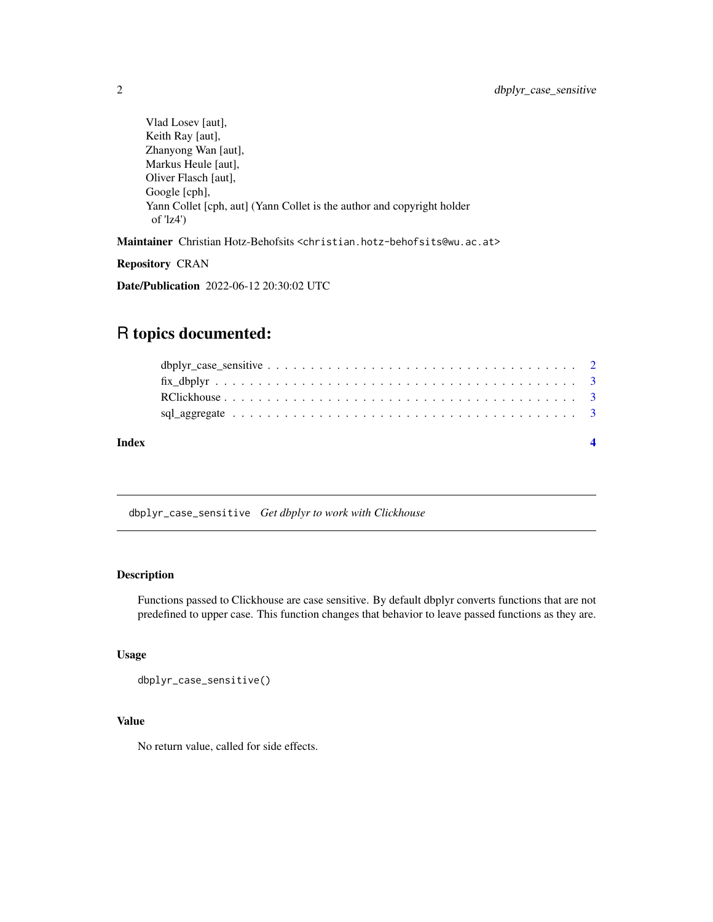<span id="page-1-0"></span>Vlad Losev [aut], Keith Ray [aut], Zhanyong Wan [aut], Markus Heule [aut], Oliver Flasch [aut], Google [cph], Yann Collet [cph, aut] (Yann Collet is the author and copyright holder of 'lz4')

Maintainer Christian Hotz-Behofsits <christian.hotz-behofsits@wu.ac.at>

Repository CRAN

Date/Publication 2022-06-12 20:30:02 UTC

### R topics documented:

| Index |  |
|-------|--|
|       |  |
|       |  |
|       |  |
|       |  |

dbplyr\_case\_sensitive *Get dbplyr to work with Clickhouse*

#### Description

Functions passed to Clickhouse are case sensitive. By default dbplyr converts functions that are not predefined to upper case. This function changes that behavior to leave passed functions as they are.

#### Usage

dbplyr\_case\_sensitive()

#### Value

No return value, called for side effects.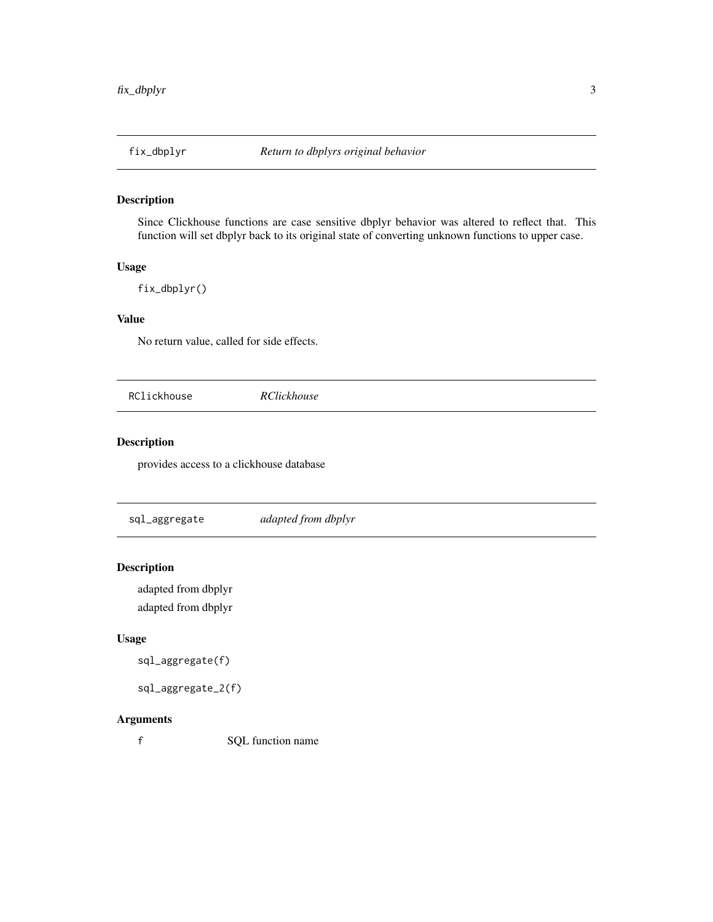#### <span id="page-2-0"></span>Description

Since Clickhouse functions are case sensitive dbplyr behavior was altered to reflect that. This function will set dbplyr back to its original state of converting unknown functions to upper case.

#### Usage

fix\_dbplyr()

#### Value

No return value, called for side effects.

RClickhouse *RClickhouse*

#### Description

provides access to a clickhouse database

sql\_aggregate *adapted from dbplyr*

#### Description

adapted from dbplyr adapted from dbplyr

#### Usage

```
sql_aggregate(f)
```

```
sql_aggregate_2(f)
```
#### Arguments

f SQL function name